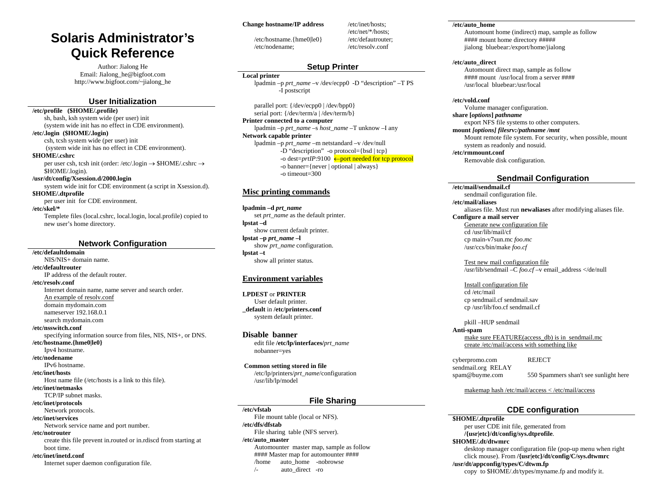# **Solaris Administrator's Quick Reference**

Author: Jialong He Email: Jialong\_he@bigfoot.com http://www.bigfoot.com/~jialong\_he

### **User Initialization**

**/etc/profile (\$HOME/.profile)** 

sh, bash, ksh system wide (per user) init (system wide init has no effect in CDE environment).

**/etc/.login (\$HOME/.login)** 

csh, tcsh system wide (per user) init (system wide init has no effect in CDE environment). **\$HOME/.cshrc** 

per user csh, tcsh init (order: /etc/.login → \$HOME/.cshrc → \$HOME/.login).

**/usr/dt/config/Xsession.d/2000.login** 

system wide init for CDE environment (a script in Xsession.d). **\$HOME/.dtprofile** 

per user init for CDE environment.

**/etc/skel/\*** 

Templete files (local.cshrc, local.login, local.profile) copied to new user's home directory.

### **Network Configuration**

**/etc/defaultdomain** NIS/NIS+ domain name. **/etc/defaultrouter** IP address of the default router. **/etc/resolv.conf** Internet domain name, name server and search order. An example of resolv.conf domain mydomain.com nameserver 192.168.0.1 search mydomain.com **/etc/nsswitch.conf** specifying information source from files, NIS, NIS+, or DNS. **/etc/hostname.{hme0|le0}** Ipv4 hostname. **/etc/nodename**IPv6 hostname. **/etc/inet/hosts** Host name file (/etc/hosts is a link to this file). **/etc/inet/netmasks** TCP/IP subnet masks. **/etc/inet/protocols**  Network protocols. **/etc/inet/services**  Network service name and port number. **/etc/notrouter** create this file prevent in.routed or in.rdiscd from starting at boot time. **/etc/inet/inetd.conf** Internet super daemon configuration file.

#### **Change hostname/IP address**

/etc/hostname.{hme0|le0} /etc/nodename;

/etc/inet/hosts; /etc/net/\*/hosts; /etc/defautrouter; /etc/resolv.conf

### **Setup Printer**

#### **Local printer**

lpadmin –p *prt\_name* –v /dev/ecpp0 -D "description" –T PS -I postscript

parallel port: {/dev/ecpp0 | /dev/bpp0} serial port: {/dev/term/a | /dev/term/b}

**Printer connected to a computer** 

lpadmin –p *prt\_name* –s *host\_name* –T unknow –I any **Network capable printer**  lpadmin –p *prt\_name* –m netstandard –v /dev/null

 $-D$  "description" -o protocol={bsd | tcp} -o dest=*prtIP*:9100 <sup>←</sup>port needed for tcp protocol -o banner={never | optional | always}

-o timeout=300

### **Misc printing commands**

**lpadmin –d** *prt\_name* set *prt\_name* as the default printer. **lpstat –d**  show current default printer. **lpstat –p** *prt\_name* **–l**  show *prt\_name* configuration. **lpstat –t**  show all printer status.

### **Environment variables**

**LPDEST** or **PRINTER** User default printer. **\_default** in **/etc/printers.conf** system default printer.

#### **Disable banner**

edit file **/etc/lp/interfaces/***prt\_name* nobanner=yes

 **Common setting stored in file**  /etc/lp/printers/*prt\_name*/configuration /usr/lib/lp/model

### **File Sharing**

**/etc/vfstab**File mount table (local or NFS). **/etc/dfs/dfstab**  File sharing table (NFS server). **/etc/auto\_master**  Automounter master map, sample as follow #### Master map for automounter #### /home auto\_home -nobrowse /- auto\_direct -ro

#### **/etc/auto\_home**

Automount home (indirect) map, sample as follow #### mount home directory ##### jialong bluebear:/export/home/jialong

#### **/etc/auto\_direct**

Automount direct map, sample as follow #### mount /usr/local from a server #### /usr/local bluebear:/usr/local

#### **/etc/vold.conf**

Volume manager configuration. **share [***options***]** *pathname* export NFS file systems to other computers. **mount** *[options] filesrv:/pathname /mnt* Mount remote file system. For security, when possible, mount

system as readonly and nosuid. **/etc/rmmount.conf** 

Removable disk configuration.

### **Sendmail Configuration**

**/etc/mail/sendmail.cf** 

sendmail configuration file.

**/etc/mail/aliases** 

aliases file. Must run **newaliases** after modifying aliases file.

### **Configure a mail server**

Generate new configuration file cd /usr/lib/mail/cf cp main-v7sun.mc *foo.mc* /usr/ccs/bin/make *foo.cf*

Test new mail configuration file /usr/lib/sendmail –C *foo.cf* –v email\_address </de/null

### Install configuration file

cd /etc/mail cp sendmail.cf sendmail.sav cp /usr/lib/foo.cf sendmail.cf

pkill –HUP sendmail

**Anti-spam**

make sure FEATURE(access\_db) is in sendmail.mc create /etc/mail/access with something like

cyberpromo.com REJECT sendmail.org RELAY

spam@buyme.com 550 Spammers shan't see sunlight here

makemap hash /etc/mail/access < /etc/mail/access

### **CDE configuration**

**\$HOME/.dtprofile**  per user CDE init file, gemerated from **/{usr|etc}/dt/config/sys.dtprofile**. **\$HOME/.dt/dtwmrc**  desktop manager configuration file (pop-up menu when right click mouse). From **/{usr|etc}/dt/config/C/sys.dtwmrc /usr/dt/appconfig/types/C/dtwm.fp**  copy to \$HOME/.dt/types/myname.fp and modify it.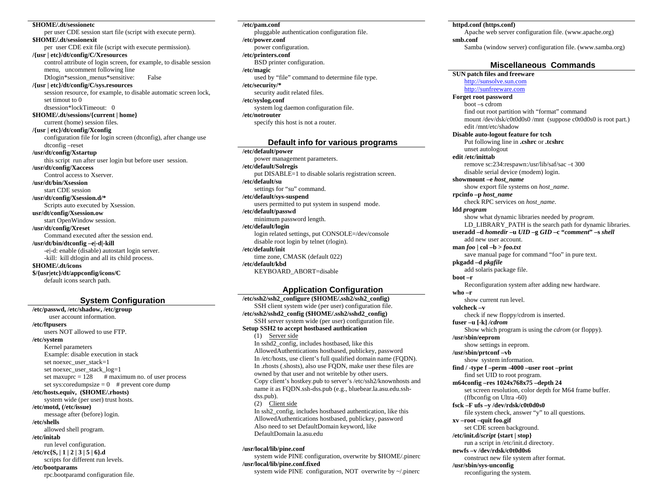#### **\$HOME/.dt/sessionetc**

per user CDE session start file (script with execute perm). **\$HOME/.dt/sessionexit**  per user CDE exit file (script with execute permission). **/{usr | etc}/dt/config/C/Xresources**  control attribute of login screen, for example, to disable session menu, uncomment following line Dtlogin\*session\_menus\*sensitive: False **/{usr | etc}/dt/config/C/sys.resources**  session resource, for example, to disable automatic screen lock, set timout to 0 dtsession\*lockTimeout: 0 **\$HOME/.dt/sessions/{current | home}**  current (home) session files. **/{usr | etc}/dt/config/Xconfig**  configuration file for login screen (dtconfig), after change use dtconfig –reset **/usr/dt/config/Xstartup**  this script run after user login but before user session. **/usr/dt/config/Xaccess**  Control access to Xserver. **/usr/dt/bin/Xsession** start CDE session **/usr/dt/config/Xsession.d/\***  Scripts auto executed by Xsession. **usr/dt/config/Xsession.ow**  start OpenWindow session. **/usr/dt/config/Xreset**  Command executed after the session end. **/usr/dt/bin/dtconfig –e|-d|-kill**  -e|-d: enable (disable) autostart login server. -kill: kill dtlogin and all its child process. **\$HOME/.dt/icons \$/{usr|etc}/dt/appconfig/icons/C**  default icons search path.

### **System Configuration**

**/etc/passwd, /etc/shadow, /etc/group** user account information. **/etc/ftpusers**  users NOT allowed to use FTP. **/etc/system**  Kernel parameters Example: disable execution in stack set noexec\_user\_stack=1 set noexec\_user\_stack\_log=1 set maxuprc =  $128$  # maximum no. of user process set sys: coredumpsize =  $0$  # prevent core dump **/etc/hosts.equiv, (\$HOME/.rhosts)**  system wide (per user) trust hosts. **/etc/motd, (/etc/issue)**  message after (before) login. **/etc/shells** allowed shell program. **/etc/initab** run level configuration. **/etc/rc{S, | 1 | 2 | 3 | 5 | 6}.d**  scripts for different run levels. **/etc/bootparams**  rpc.bootparamd configuration file.

**/etc/pam.conf**  pluggable authentication configuration file. **/etc/power.conf**  power configuration. **/etc/printers.conf**  BSD printer configuration. **/etc/magic**  used by "file" command to determine file type. **/etc/security/\***  security audit related files. **/etc/syslog.conf**  system log daemon configuration file. **/etc/notrouter** specify this host is not a router.

### **Default info for various programs**

**/etc/default/power**  power management parameters. **/etc/default/Solregis**  put DISABLE=1 to disable solaris registration screen. **/etc/default/su** settings for "su" command. **/etc/default/sys-suspend**  users permitted to put system in suspend mode. **/etc/default/passwd**  minimum password length. **/etc/default/login**  login related settings, put CONSOLE=/dev/console disable root login by telnet (rlogin). **/etc/default/init** time zone, CMASK (default 022) **/etc/default/kbd** KEYBOARD\_ABORT=disable

### **Application Configuration**

**/etc/ssh2/ssh2\_configure (\$HOME/.ssh2/ssh2\_config)**  SSH client system wide (per user) configuration file. **/etc/ssh2/sshd2\_config (\$HOME/.ssh2/sshd2\_config)**  SSH server system wide (per user) configuration file. **Setup SSH2 to accept hostbased authtication**  (1) Server side In sshd2\_config, includes hostbased, like this AllowedAuthentications hostbased, publickey, password In /etc/hosts, use client's full qualified domain name (FQDN). In .rhosts (.shosts), also use FQDN, make user these files are owned by that user and not writeble by other users. Copy client's hostkey.pub to server's /etc/ssh2/knownhosts and name it as FQDN.ssh-dss.pub (e.g., bluebear.la.asu.edu.sshdss.pub). (2) Client side In ssh2\_config, includes hostbased authentication, like this AllowedAuthentications hostbased, publickey, password Also need to set DefaultDomain keyword, like DefaultDomain la.asu.edu

#### **/usr/local/lib/pine.conf**

system wide PINE configuration, overwrite by \$HOME/.pinerc **/usr/local/lib/pine.conf.fixed**  system wide PINE configuration, NOT overwrite by ~/.pinerc

#### **httpd.conf (https.conf)**

Apache web server configuration file. (www.apache.org) **smb.conf** 

Samba (window server) configuration file. (www.samba.org)

### **Miscellaneous Commands**

### **SUN patch files and freeware**

http://sunsolve.sun.com http://sunfreeware.com

### **Forget root password**

boot –s cdrom find out root partition with "format" command mount /dev/dsk/c0t0d0s0 /mnt (suppose c0t0d0s0 is root part.) edit /mnt/etc/shadow

## **Disable auto-logout feature for tcsh**

Put following line in **.cshrc** or **.tcshrc** unset autologout

### **edit /etc/inittab**

remove sc:234:respawn:/usr/lib/saf/sac –t 300 disable serial device (modem) login. **showmount –e** *host\_name*

show export file systems on *host\_name*.

**rpcinfo –p** *host\_name*

check RPC services on *host\_name*.

**ldd** *program* 

show what dynamic libraries needed by *program*. LD\_LIBRARY\_PATH is the search path for dynamic libraries.

**useradd –d** *homedir* **–u** *UID* **–g** *GID* **–c "***comment***" –s** *shell* add new user account.

**man** *foo* **| col –b >** *foo.txt*

save manual page for command "foo" in pure text.

**pkgadd –d** *pkgfile* add solaris package file.

**boot –r** 

Reconfiguration system after adding new hardware. **who –r** 

show current run level.

**volcheck –v** 

check if new floppy/cdrom is inserted.

**fuser –u [-k]** */cdrom*

Show which program is using the *cdrom* (or floppy).

**/usr/sbin/eeprom** 

show settings in eeprom. **/usr/sbin/prtconf –vb** 

show system information.

**find / -type f –perm -4000 –user root –print** 

find set UID to root program. **m64config –res 1024x768x75 –depth 24**  set screen resolution, color depth for M64 frame buffer. (ffbconfig on Ultra -60) **fsck –F ufs –y /dev/rdsk/c0t0d0s0** 

file system check, answer "y" to all questions.

**xv –root –quit foo.gif** 

set CDE screen background.

**/etc/init.d/***script* **{start | stop}** 

run a script in /etc/init.d directory.

**newfs –v /dev/rdsk/c0t0d0s6** 

construct new file system after format. **/usr/sbin/sys-unconfig** 

reconfiguring the system.